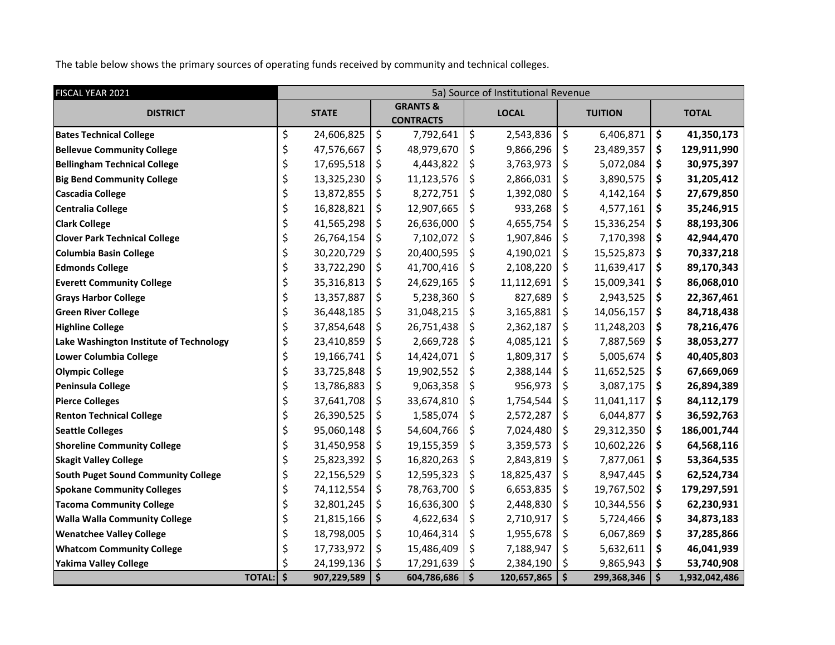The table below shows the primary sources of operating funds received by community and technical colleges.

| FISCAL YEAR 2021                           | 5a) Source of Institutional Revenue |              |    |                                         |                     |              |                     |                |              |               |  |
|--------------------------------------------|-------------------------------------|--------------|----|-----------------------------------------|---------------------|--------------|---------------------|----------------|--------------|---------------|--|
| <b>DISTRICT</b>                            |                                     | <b>STATE</b> |    | <b>GRANTS &amp;</b><br><b>CONTRACTS</b> |                     | <b>LOCAL</b> |                     | <b>TUITION</b> | <b>TOTAL</b> |               |  |
| <b>Bates Technical College</b>             | \$                                  | 24,606,825   | \$ | 7,792,641                               | \$                  | 2,543,836    | \$                  | 6,406,871      | \$           | 41,350,173    |  |
| <b>Bellevue Community College</b>          | \$                                  | 47,576,667   | \$ | 48,979,670                              | \$                  | 9,866,296    | \$                  | 23,489,357     | \$           | 129,911,990   |  |
| <b>Bellingham Technical College</b>        | \$                                  | 17,695,518   | \$ | 4,443,822                               | \$                  | 3,763,973    | \$                  | 5,072,084      | \$           | 30,975,397    |  |
| <b>Big Bend Community College</b>          | \$                                  | 13,325,230   | \$ | 11,123,576                              | \$                  | 2,866,031    | \$                  | 3,890,575      | \$           | 31,205,412    |  |
| <b>Cascadia College</b>                    | \$                                  | 13,872,855   | \$ | 8,272,751                               | \$                  | 1,392,080    | \$                  | 4,142,164      | \$           | 27,679,850    |  |
| <b>Centralia College</b>                   | \$                                  | 16,828,821   | \$ | 12,907,665                              | \$                  | 933,268      | \$                  | 4,577,161      | \$           | 35,246,915    |  |
| <b>Clark College</b>                       | \$                                  | 41,565,298   | \$ | 26,636,000                              | \$                  | 4,655,754    | \$                  | 15,336,254     | \$           | 88,193,306    |  |
| <b>Clover Park Technical College</b>       | \$                                  | 26,764,154   | \$ | 7,102,072                               | \$                  | 1,907,846    | \$                  | 7,170,398      | \$           | 42,944,470    |  |
| <b>Columbia Basin College</b>              | \$                                  | 30,220,729   | \$ | 20,400,595                              | \$                  | 4,190,021    | \$                  | 15,525,873     | \$           | 70,337,218    |  |
| <b>Edmonds College</b>                     | \$                                  | 33,722,290   | \$ | 41,700,416                              | \$                  | 2,108,220    | \$                  | 11,639,417     | \$           | 89,170,343    |  |
| <b>Everett Community College</b>           | \$                                  | 35,316,813   | \$ | 24,629,165                              | \$                  | 11,112,691   | \$                  | 15,009,341     | \$           | 86,068,010    |  |
| <b>Grays Harbor College</b>                | \$                                  | 13,357,887   | \$ | 5,238,360                               | \$                  | 827,689      | \$                  | 2,943,525      | \$           | 22,367,461    |  |
| <b>Green River College</b>                 | \$                                  | 36,448,185   | \$ | 31,048,215                              | \$                  | 3,165,881    | \$                  | 14,056,157     | \$           | 84,718,438    |  |
| <b>Highline College</b>                    | \$                                  | 37,854,648   | \$ | 26,751,438                              | \$                  | 2,362,187    | \$                  | 11,248,203     | \$           | 78,216,476    |  |
| Lake Washington Institute of Technology    | \$                                  | 23,410,859   | \$ | 2,669,728                               | \$                  | 4,085,121    | \$                  | 7,887,569      | \$           | 38,053,277    |  |
| <b>Lower Columbia College</b>              | \$                                  | 19,166,741   | \$ | 14,424,071                              | \$                  | 1,809,317    | \$                  | 5,005,674      | \$           | 40,405,803    |  |
| <b>Olympic College</b>                     | \$                                  | 33,725,848   | \$ | 19,902,552                              | \$                  | 2,388,144    | \$                  | 11,652,525     | \$           | 67,669,069    |  |
| <b>Peninsula College</b>                   | \$                                  | 13,786,883   | \$ | 9,063,358                               | \$                  | 956,973      | \$                  | 3,087,175      | \$           | 26,894,389    |  |
| <b>Pierce Colleges</b>                     | \$                                  | 37,641,708   | \$ | 33,674,810                              | \$                  | 1,754,544    | \$                  | 11,041,117     | \$           | 84,112,179    |  |
| <b>Renton Technical College</b>            | \$                                  | 26,390,525   | \$ | 1,585,074                               | \$                  | 2,572,287    | \$                  | 6,044,877      | \$           | 36,592,763    |  |
| <b>Seattle Colleges</b>                    | \$                                  | 95,060,148   | \$ | 54,604,766                              | \$                  | 7,024,480    | \$                  | 29,312,350     | \$           | 186,001,744   |  |
| <b>Shoreline Community College</b>         | \$                                  | 31,450,958   | \$ | 19,155,359                              | \$                  | 3,359,573    | \$                  | 10,602,226     | \$           | 64,568,116    |  |
| <b>Skagit Valley College</b>               | \$                                  | 25,823,392   | \$ | 16,820,263                              | \$                  | 2,843,819    | \$                  | 7,877,061      | \$           | 53,364,535    |  |
| <b>South Puget Sound Community College</b> | \$                                  | 22,156,529   | \$ | 12,595,323                              | \$                  | 18,825,437   | \$                  | 8,947,445      | \$           | 62,524,734    |  |
| <b>Spokane Community Colleges</b>          | \$                                  | 74,112,554   | \$ | 78,763,700                              | \$                  | 6,653,835    | \$                  | 19,767,502     | \$           | 179,297,591   |  |
| <b>Tacoma Community College</b>            | \$                                  | 32,801,245   | \$ | 16,636,300                              | \$                  | 2,448,830    | \$                  | 10,344,556     | \$           | 62,230,931    |  |
| <b>Walla Walla Community College</b>       | \$                                  | 21,815,166   | \$ | 4,622,634                               | \$                  | 2,710,917    | \$                  | 5,724,466      | \$           | 34,873,183    |  |
| <b>Wenatchee Valley College</b>            | \$                                  | 18,798,005   | \$ | 10,464,314                              | \$                  | 1,955,678    | \$                  | 6,067,869      | \$           | 37,285,866    |  |
| <b>Whatcom Community College</b>           | \$                                  | 17,733,972   | \$ | 15,486,409                              | \$                  | 7,188,947    | \$                  | 5,632,611      | \$           | 46,041,939    |  |
| <b>Yakima Valley College</b>               | \$                                  | 24,199,136   | \$ | 17,291,639                              | \$                  | 2,384,190    | \$                  | 9,865,943      | \$           | 53,740,908    |  |
| <b>TOTAL:</b>                              | $\dot{\mathsf{s}}$                  | 907,229,589  | \$ | 604,786,686                             | $\ddot{\bm{\zeta}}$ | 120,657,865  | $\ddot{\bm{\zeta}}$ | 299,368,346    | \$           | 1,932,042,486 |  |